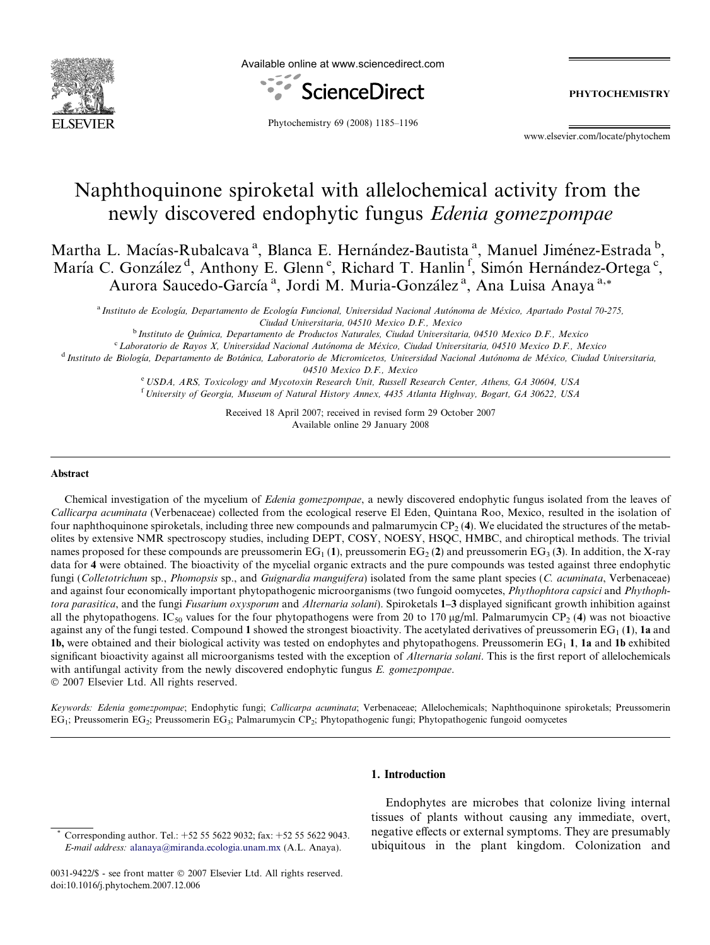

Available online at www.sciencedirect.com



PHYTOCHEMISTRY

Phytochemistry 69 (2008) 1185–1196

www.elsevier.com/locate/phytochem

# Naphthoquinone spiroketal with allelochemical activity from the newly discovered endophytic fungus Edenia gomezpompae

Martha L. Macías-Rubalcava<sup>a</sup>, Blanca E. Hernández-Bautista<sup>a</sup>, Manuel Jiménez-Estrada<sup>b</sup>, María C. González<sup>d</sup>, Anthony E. Glenn<sup>e</sup>, Richard T. Hanlin<sup>f</sup>, Simón Hernández-Ortega<sup>c</sup>, Aurora Saucedo-García<sup>a</sup>, Jordi M. Muria-González<sup>a</sup>, Ana Luisa Anaya<sup>a,\*</sup>

<sup>a</sup> Instituto de Ecología, Departamento de Ecología Funcional, Universidad Nacional Autónoma de México, Apartado Postal 70-275, Ciudad Universitaria, 04510 Mexico D.F., Mexico

<sup>b</sup> Instituto de Ouímica, Departamento de Productos Naturales, Ciudad Universitaria, 04510 Mexico D.F., Mexico

<sup>c</sup> Laboratorio de Rayos X, Universidad Nacional Autónoma de México, Ciudad Universitaria, 04510 Mexico D.F., Mexico

<sup>d</sup> Instituto de Biología, Departamento de Botánica, Laboratorio de Micromicetos, Universidad Nacional Autónoma de México, Ciudad Universitaria, 04510 Mexico D.F., Mexico

e USDA, ARS, Toxicology and Mycotoxin Research Unit, Russell Research Center, Athens, GA 30604, USA <sup>f</sup> University of Georgia, Museum of Natural History Annex, 4435 Atlanta Highway, Bogart, GA 30622, USA

> Received 18 April 2007; received in revised form 29 October 2007 Available online 29 January 2008

#### Abstract

Chemical investigation of the mycelium of Edenia gomezpompae, a newly discovered endophytic fungus isolated from the leaves of Callicarpa acuminata (Verbenaceae) collected from the ecological reserve El Eden, Quintana Roo, Mexico, resulted in the isolation of four naphthoquinone spiroketals, including three new compounds and palmarumycin  $CP<sub>2</sub>$  (4). We elucidated the structures of the metabolites by extensive NMR spectroscopy studies, including DEPT, COSY, NOESY, HSQC, HMBC, and chiroptical methods. The trivial names proposed for these compounds are preussomerin  $EG_1(1)$ , preussomerin  $EG_2(2)$  and preussomerin  $EG_3(3)$ . In addition, the X-ray data for 4 were obtained. The bioactivity of the mycelial organic extracts and the pure compounds was tested against three endophytic fungi (Colletotrichum sp., Phomopsis sp., and Guignardia manguifera) isolated from the same plant species (C. acuminata, Verbenaceae) and against four economically important phytopathogenic microorganisms (two fungoid oomycetes, *Phythophtora capsici* and *Phythoph*tora parasitica, and the fungi Fusarium oxysporum and Alternaria solani). Spiroketals 1-3 displayed significant growth inhibition against all the phytopathogens. IC<sub>50</sub> values for the four phytopathogens were from 20 to 170  $\mu$ g/ml. Palmarumycin CP<sub>2</sub> (4) was not bioactive against any of the fungi tested. Compound 1 showed the strongest bioactivity. The acetylated derivatives of preussomerin  $EG_1(1)$ , 1a and 1b, were obtained and their biological activity was tested on endophytes and phytopathogens. Preussomerin  $EG<sub>1</sub>$  1, 1a and 1b exhibited significant bioactivity against all microorganisms tested with the exception of Alternaria solani. This is the first report of allelochemicals with antifungal activity from the newly discovered endophytic fungus E. gomezpompae.

 $© 2007 Elsevier Ltd. All rights reserved.$ 

Keywords: Edenia gomezpompae; Endophytic fungi; Callicarpa acuminata; Verbenaceae; Allelochemicals; Naphthoquinone spiroketals; Preussomerin EG1; Preussomerin EG2; Preussomerin EG3; Palmarumycin CP2; Phytopathogenic fungi; Phytopathogenic fungoid oomycetes

#### 1. Introduction

Endophytes are microbes that colonize living internal tissues of plants without causing any immediate, overt, negative effects or external symptoms. They are presumably ubiquitous in the plant kingdom. Colonization and

Corresponding author. Tel.: +52 55 5622 9032; fax: +52 55 5622 9043. E-mail address: [alanaya@miranda.ecologia.unam.mx](mailto:alanaya@miranda.ecologia.unam.mx) (A.L. Anaya).

<sup>0031-9422/\$ -</sup> see front matter © 2007 Elsevier Ltd. All rights reserved. doi:10.1016/j.phytochem.2007.12.006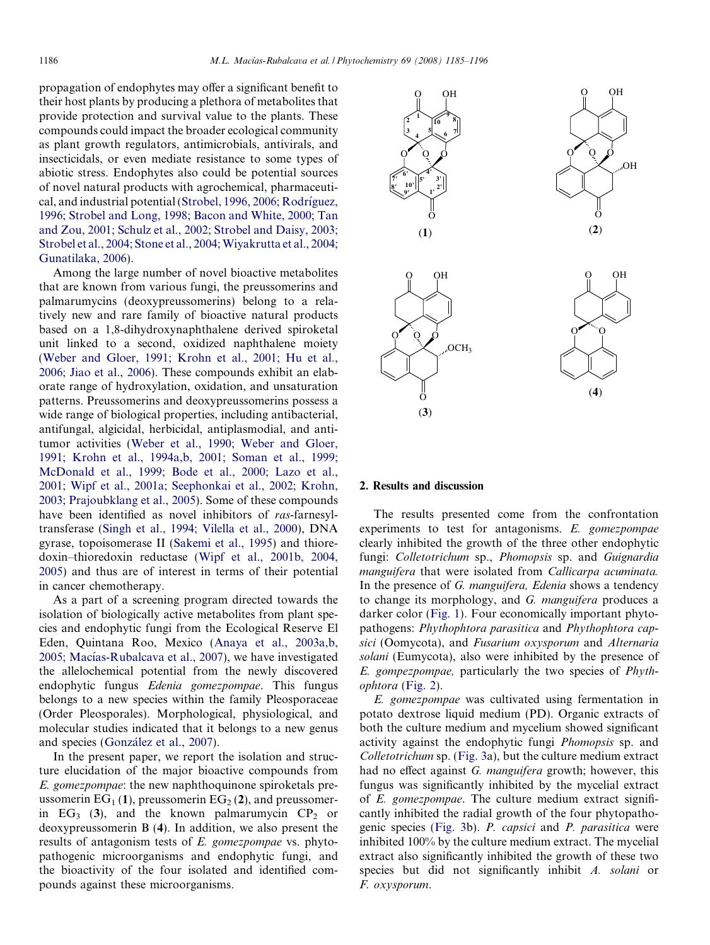propagation of endophytes may offer a significant benefit to their host plants by producing a plethora of metabolites that provide protection and survival value to the plants. These compounds could impact the broader ecological community as plant growth regulators, antimicrobials, antivirals, and insecticidals, or even mediate resistance to some types of abiotic stress. Endophytes also could be potential sources of novel natural products with agrochemical, pharmaceutical, and industrial potential (Strobel, 1996, 2006; Rodríguez, [1996; Strobel and Long, 1998; Bacon and White, 2000; Tan](#page-11-0) [and Zou, 2001; Schulz et al., 2002; Strobel and Daisy, 2003;](#page-11-0) Strobel et al., 2004; Stone et al., 2004; Wiyakrutta et al., 2004; [Gunatilaka, 2006](#page-11-0)).

Among the large number of novel bioactive metabolites that are known from various fungi, the preussomerins and palmarumycins (deoxypreussomerins) belong to a relatively new and rare family of bioactive natural products based on a 1,8-dihydroxynaphthalene derived spiroketal unit linked to a second, oxidized naphthalene moiety [\(Weber and Gloer, 1991; Krohn et al., 2001; Hu et al.,](#page-11-0) [2006; Jiao et al., 2006\)](#page-11-0). These compounds exhibit an elaborate range of hydroxylation, oxidation, and unsaturation patterns. Preussomerins and deoxypreussomerins possess a wide range of biological properties, including antibacterial, antifungal, algicidal, herbicidal, antiplasmodial, and antitumor activities [\(Weber et al., 1990; Weber and Gloer,](#page-11-0) [1991; Krohn et al., 1994a,b, 2001; Soman et al., 1999;](#page-11-0) [McDonald et al., 1999; Bode et al., 2000; Lazo et al.,](#page-11-0) [2001; Wipf et al., 2001a; Seephonkai et al., 2002; Krohn,](#page-11-0) [2003; Prajoubklang et al., 2005](#page-11-0)). Some of these compounds have been identified as novel inhibitors of ras-farnesyltransferase [\(Singh et al., 1994; Vilella et al., 2000\)](#page-11-0), DNA gyrase, topoisomerase II ([Sakemi et al., 1995\)](#page-11-0) and thioredoxin–thioredoxin reductase ([Wipf et al., 2001b, 2004,](#page-11-0) [2005\)](#page-11-0) and thus are of interest in terms of their potential in cancer chemotherapy.

As a part of a screening program directed towards the isolation of biologically active metabolites from plant species and endophytic fungi from the Ecological Reserve El Eden, Quintana Roo, Mexico ([Anaya et al., 2003a,b,](#page-10-0) 2005; Macías-Rubalcava et al., 2007), we have investigated the allelochemical potential from the newly discovered endophytic fungus Edenia gomezpompae. This fungus belongs to a new species within the family Pleosporaceae (Order Pleosporales). Morphological, physiological, and molecular studies indicated that it belongs to a new genus and species (González et al., 2007).

In the present paper, we report the isolation and structure elucidation of the major bioactive compounds from E. gomezpompae: the new naphthoquinone spiroketals preussomerin  $EG_1(1)$ , preussomerin  $EG_2(2)$ , and preussomerin  $EG_3$  (3), and the known palmarumycin  $CP_2$  or deoxypreussomerin B (4). In addition, we also present the results of antagonism tests of E. gomezpompae vs. phytopathogenic microorganisms and endophytic fungi, and the bioactivity of the four isolated and identified compounds against these microorganisms.



# 2. Results and discussion

The results presented come from the confrontation experiments to test for antagonisms. E. gomezpompae clearly inhibited the growth of the three other endophytic fungi: Colletotrichum sp., Phomopsis sp. and Guignardia manguifera that were isolated from Callicarpa acuminata. In the presence of G. *manguifera*, *Edenia* shows a tendency to change its morphology, and G. manguifera produces a darker color [\(Fig. 1](#page-2-0)). Four economically important phytopathogens: Phythophtora parasitica and Phythophtora capsici (Oomycota), and Fusarium oxysporum and Alternaria solani (Eumycota), also were inhibited by the presence of E. gompezpompae, particularly the two species of Phythophtora [\(Fig. 2\)](#page-2-0).

E. gomezpompae was cultivated using fermentation in potato dextrose liquid medium (PD). Organic extracts of both the culture medium and mycelium showed significant activity against the endophytic fungi Phomopsis sp. and Colletotrichum sp. [\(Fig. 3a](#page-3-0)), but the culture medium extract had no effect against G. manguifera growth; however, this fungus was significantly inhibited by the mycelial extract of E. gomezpompae. The culture medium extract significantly inhibited the radial growth of the four phytopathogenic species ([Fig. 3](#page-3-0)b). P. capsici and P. parasitica were inhibited 100% by the culture medium extract. The mycelial extract also significantly inhibited the growth of these two species but did not significantly inhibit A. solani or F. oxysporum.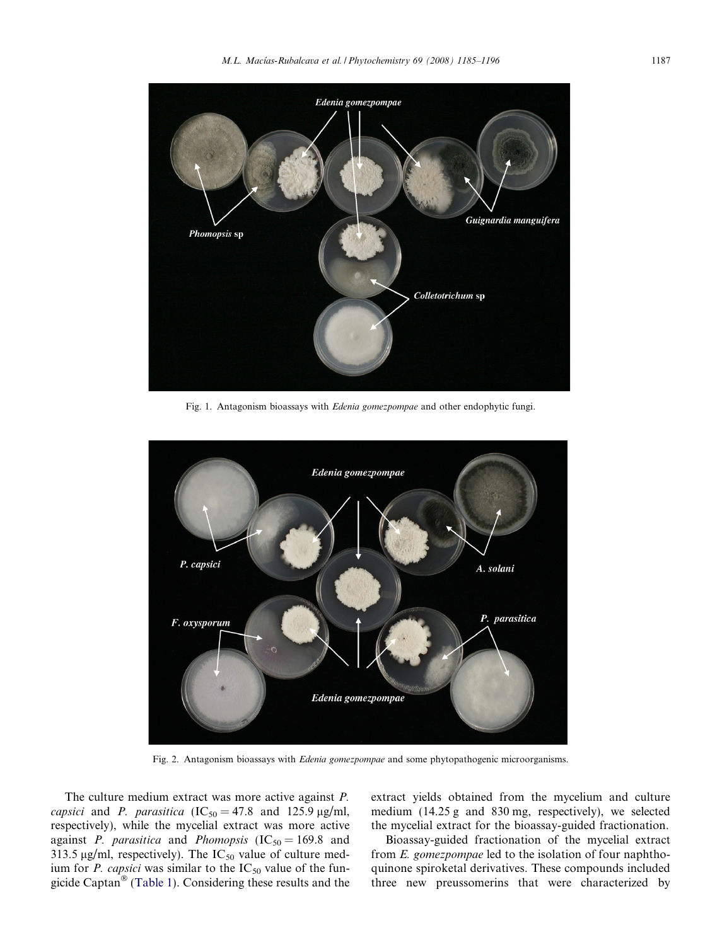<span id="page-2-0"></span>

Fig. 1. Antagonism bioassays with Edenia gomezpompae and other endophytic fungi.



Fig. 2. Antagonism bioassays with *Edenia gomezpompae* and some phytopathogenic microorganisms.

The culture medium extract was more active against P. capsici and P. parasitica  $(IC_{50} = 47.8$  and 125.9 µg/ml, respectively), while the mycelial extract was more active against *P. parasitica* and *Phomopsis* (IC<sub>50</sub> = 169.8 and 313.5  $\mu$ g/ml, respectively). The IC<sub>50</sub> value of culture medium for *P. capsici* was similar to the  $IC_{50}$  value of the fun-gicide Captan<sup>®</sup> [\(Table 1\)](#page-3-0). Considering these results and the extract yields obtained from the mycelium and culture medium (14.25 g and 830 mg, respectively), we selected the mycelial extract for the bioassay-guided fractionation.

Bioassay-guided fractionation of the mycelial extract from E. gomezpompae led to the isolation of four naphthoquinone spiroketal derivatives. These compounds included three new preussomerins that were characterized by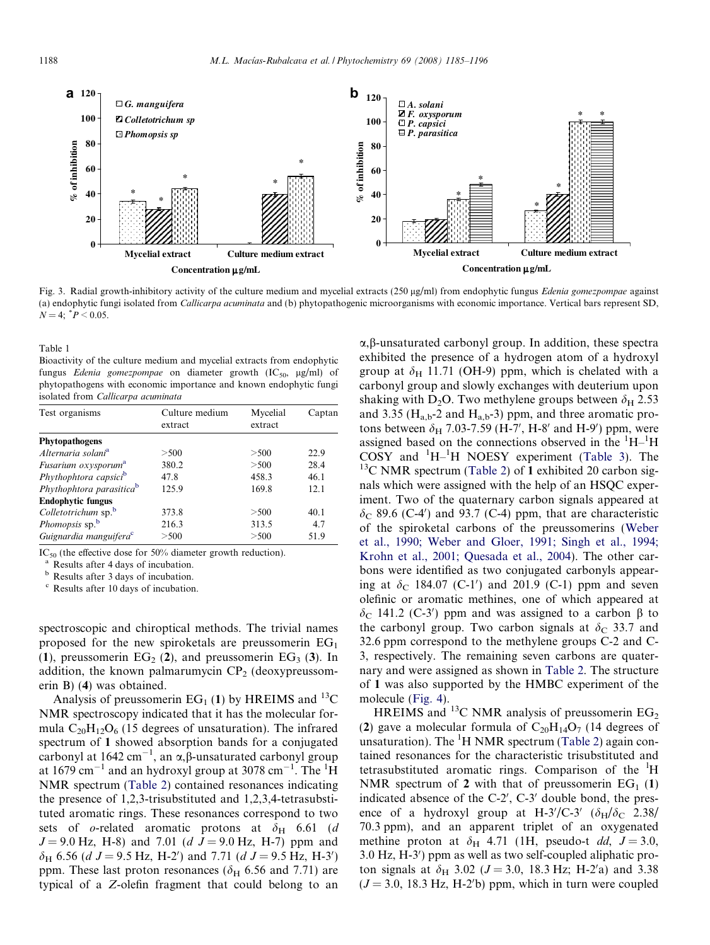<span id="page-3-0"></span>

Fig. 3. Radial growth-inhibitory activity of the culture medium and mycelial extracts (250 µg/ml) from endophytic fungus Edenia gomezpompae against (a) endophytic fungi isolated from Callicarpa acuminata and (b) phytopathogenic microorganisms with economic importance. Vertical bars represent SD,  $N = 4$ ;  $P < 0.05$ .

Table 1

Bioactivity of the culture medium and mycelial extracts from endophytic fungus Edenia gomezpompae on diameter growth  $(IC_{50}, \mu g/ml)$  of phytopathogens with economic importance and known endophytic fungi isolated from Callicarpa acuminata

| Test organisms                       | Culture medium | Mycelial | Captan |
|--------------------------------------|----------------|----------|--------|
|                                      | extract        | extract  |        |
| Phytopathogens                       |                |          |        |
| Alternaria solani <sup>a</sup>       | > 500          | > 500    | 22.9   |
| Fusarium oxysporum <sup>a</sup>      | 380.2          | >500     | 28.4   |
| Phythophtora capsici <sup>b</sup>    | 47.8           | 458.3    | 46.1   |
| Phythophtora parasitica <sup>b</sup> | 125.9          | 169.8    | 12.1   |
| <b>Endophytic fungus</b>             |                |          |        |
| Colletotrichum sp. <sup>b</sup>      | 373.8          | >500     | 40.1   |
| <i>Phomopsis</i> sp. <sup>b</sup>    | 216.3          | 313.5    | 4.7    |
| Guignardia manguifera <sup>c</sup>   | >500           | > 500    | 51.9   |

IC<sub>50</sub> (the effective dose for 50% diameter growth reduction).<br><sup>a</sup> Results after 4 days of incubation.<br><sup>b</sup> Results after 3 days of incubation.

<sup>c</sup> Results after 10 days of incubation.

spectroscopic and chiroptical methods. The trivial names proposed for the new spiroketals are preussomerin  $EG<sub>1</sub>$ (1), preussomerin  $EG_2$  (2), and preussomerin  $EG_3$  (3). In addition, the known palmarumycin  $CP<sub>2</sub>$  (deoxypreussomerin B) (4) was obtained.

Analysis of preussomerin  $EG_1(1)$  by HREIMS and <sup>13</sup>C NMR spectroscopy indicated that it has the molecular formula  $C_{20}H_{12}O_6$  (15 degrees of unsaturation). The infrared spectrum of 1 showed absorption bands for a conjugated carbonyl at 1642 cm<sup>-1</sup>, an  $\alpha$ ,  $\beta$ -unsaturated carbonyl group at 1679 cm<sup>-1</sup> and an hydroxyl group at 3078 cm<sup>-1</sup>. The <sup>1</sup>H NMR spectrum [\(Table 2](#page-4-0)) contained resonances indicating the presence of 1,2,3-trisubstituted and 1,2,3,4-tetrasubstituted aromatic rings. These resonances correspond to two sets of o-related aromatic protons at  $\delta_{\rm H}$  6.61 (d)  $J = 9.0$  Hz, H-8) and 7.01 (d  $J = 9.0$  Hz, H-7) ppm and  $\delta_H$  6.56 (*d J* = 9.5 Hz, H-2') and 7.71 (*d J* = 9.5 Hz, H-3') ppm. These last proton resonances ( $\delta$ <sub>H</sub> 6.56 and 7.71) are typical of a Z-olefin fragment that could belong to an

 $\alpha$ ,  $\beta$ -unsaturated carbonyl group. In addition, these spectra exhibited the presence of a hydrogen atom of a hydroxyl group at  $\delta_H$  11.71 (OH-9) ppm, which is chelated with a carbonyl group and slowly exchanges with deuterium upon shaking with D<sub>2</sub>O. Two methylene groups between  $\delta_{\rm H}$  2.53 and 3.35 ( $H_{a,b}$ -2 and  $H_{a,b}$ -3) ppm, and three aromatic protons between  $\delta_{\rm H}$  7.03-7.59 (H-7', H-8' and H-9') ppm, were assigned based on the connections observed in the  ${}^{1}H-{}^{1}H$ COSY and  ${}^{1}H-{}^{1}H$  NOESY experiment ([Table 3](#page-5-0)). The  $13<sup>13</sup>C$  NMR spectrum ([Table 2](#page-4-0)) of 1 exhibited 20 carbon signals which were assigned with the help of an HSQC experiment. Two of the quaternary carbon signals appeared at  $\delta$ <sub>C</sub> 89.6 (C-4') and 93.7 (C-4) ppm, that are characteristic of the spiroketal carbons of the preussomerins ([Weber](#page-11-0) [et al., 1990; Weber and Gloer, 1991; Singh et al., 1994;](#page-11-0) [Krohn et al., 2001; Quesada et al., 2004](#page-11-0)). The other carbons were identified as two conjugated carbonyls appearing at  $\delta_{\rm C}$  184.07 (C-1') and 201.9 (C-1) ppm and seven olefinic or aromatic methines, one of which appeared at  $\delta_C$  141.2 (C-3') ppm and was assigned to a carbon  $\beta$  to the carbonyl group. Two carbon signals at  $\delta_c$  33.7 and 32.6 ppm correspond to the methylene groups C-2 and C-3, respectively. The remaining seven carbons are quaternary and were assigned as shown in [Table 2.](#page-4-0) The structure of 1 was also supported by the HMBC experiment of the molecule [\(Fig. 4](#page-5-0)).

HREIMS and <sup>13</sup>C NMR analysis of preussomerin  $EG_2$ (2) gave a molecular formula of  $C_{20}H_{14}O_7$  (14 degrees of unsaturation). The  ${}^{1}$ H NMR spectrum [\(Table 2\)](#page-4-0) again contained resonances for the characteristic trisubstituted and tetrasubstituted aromatic rings. Comparison of the <sup>1</sup>H NMR spectrum of 2 with that of preussomerin  $EG_1$  (1) indicated absence of the  $C-2'$ ,  $C-3'$  double bond, the presence of a hydroxyl group at H-3'/C-3'  $(\delta_H/\delta_C$  2.38/ 70.3 ppm), and an apparent triplet of an oxygenated methine proton at  $\delta_H$  4.71 (1H, pseudo-t *dd*,  $J = 3.0$ , 3.0 Hz, H-3') ppm as well as two self-coupled aliphatic proton signals at  $\delta_H$  3.02 ( $J = 3.0$ , 18.3 Hz; H-2'a) and 3.38  $(J = 3.0, 18.3 \text{ Hz}, \text{H-2'b})$  ppm, which in turn were coupled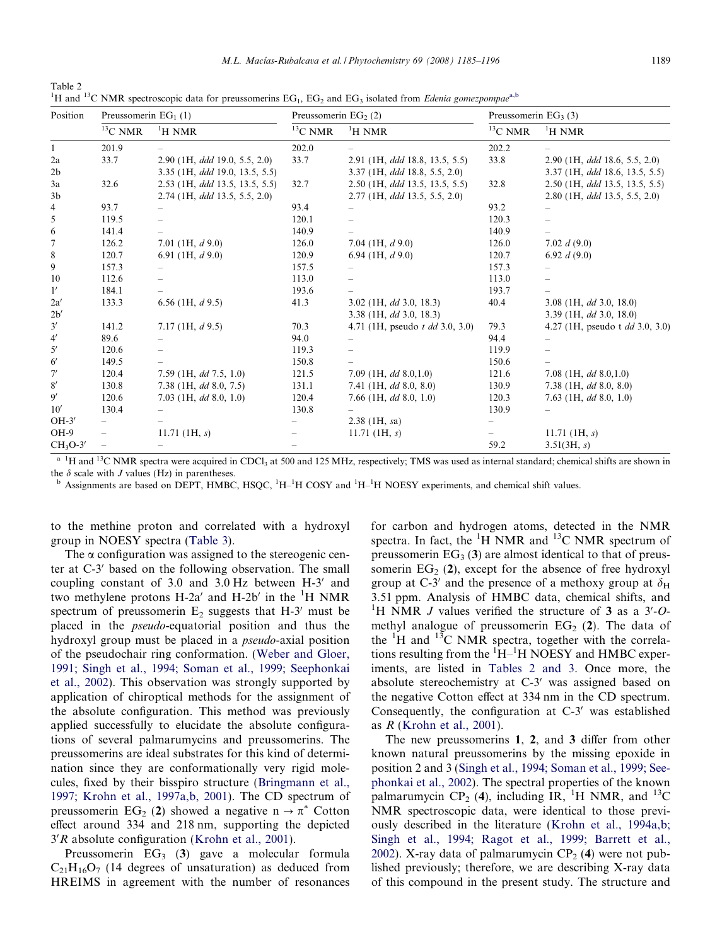<span id="page-4-0"></span>Table 2 <sup>1</sup>H and <sup>13</sup>C NMR spectroscopic data for preussomerins EG<sub>1</sub>, EG<sub>2</sub> and EG<sub>3</sub> isolated from *Edenia gomezpompae*<sup>a,b</sup>

| Position       | Preussomerin $EG_1(1)$   |                                       | Preussomerin EG <sub>2</sub> (2) |                                        | Preussomerin $EG3(3)$ |                                        |
|----------------|--------------------------|---------------------------------------|----------------------------------|----------------------------------------|-----------------------|----------------------------------------|
|                | $^{13}\mathrm{C}$ NMR    | $\mathrm{^{1}H}$ NMR                  | $^{13}$ C NMR                    | $\mathrm{^1H}$ NMR                     | $^{13} \rm C$ NMR     | <sup>1</sup> H NMR                     |
| $\mathbf{1}$   | 201.9                    |                                       | 202.0                            |                                        | 202.2                 |                                        |
| 2a             | 33.7                     | 2.90 (1H, ddd 19.0, 5.5, 2.0)         | 33.7                             | 2.91 (1H, ddd 18.8, 13.5, 5.5)         | 33.8                  | $2.90$ (1H, ddd 18.6, 5.5, 2.0)        |
| 2 <sub>b</sub> |                          | 3.35 (1H, <i>ddd</i> 19.0, 13.5, 5.5) |                                  | $3.37$ (1H, ddd 18.8, 5.5, 2.0)        |                       | 3.37 (1H, ddd 18.6, 13.5, 5.5)         |
| 3a             | 32.6                     | 2.53 (1H, ddd 13.5, 13.5, 5.5)        | 32.7                             | 2.50 (1H, <i>ddd</i> 13.5, 13.5, 5.5)  | 32.8                  | 2.50 (1H, ddd 13.5, 13.5, 5.5)         |
| 3 <sub>b</sub> |                          | $2.74$ (1H, ddd 13.5, 5.5, 2.0)       |                                  | 2.77 (1H, ddd 13.5, 5.5, 2.0)          |                       | $2.80$ (1H, <i>ddd</i> 13.5, 5.5, 2.0) |
| 4              | 93.7                     |                                       | 93.4                             |                                        | 93.2                  |                                        |
| 5              | 119.5                    |                                       | 120.1                            |                                        | 120.3                 |                                        |
| 6              | 141.4                    |                                       | 140.9                            |                                        | 140.9                 |                                        |
| 7              | 126.2                    | 7.01 (1H, $d$ 9.0)                    | 126.0                            | 7.04 (1H, $d$ 9.0)                     | 126.0                 | 7.02 $d(9.0)$                          |
| 8              | 120.7                    | 6.91 (1H, $d$ 9.0)                    | 120.9                            | 6.94 (1H, $d$ 9.0)                     | 120.7                 | 6.92 $d(9.0)$                          |
| 9              | 157.3                    |                                       | 157.5                            |                                        | 157.3                 |                                        |
| 10             | 112.6                    |                                       | 113.0                            |                                        | 113.0                 |                                        |
| $1^{\prime}$   | 184.1                    |                                       | 193.6                            |                                        | 193.7                 |                                        |
| 2a'            | 133.3                    | 6.56 (1H, $d$ 9.5)                    | 41.3                             | 3.02 (1H, $dd$ 3.0, 18.3)              | 40.4                  | 3.08 (1H, $dd$ 3.0, 18.0)              |
| 2b'            |                          |                                       |                                  | 3.38 (1H, $dd$ 3.0, 18.3)              |                       | 3.39 (1H, $dd$ 3.0, 18.0)              |
| 3'             | 141.2                    | $7.17$ (1H, $d$ 9.5)                  | 70.3                             | 4.71 (1H, pseudo <i>t dd</i> 3.0, 3.0) | 79.3                  | 4.27 (1H, pseudo t $dd$ 3.0, 3.0)      |
| $4^{\prime}$   | 89.6                     |                                       | 94.0                             |                                        | 94.4                  |                                        |
| $5^{\prime}$   | 120.6                    |                                       | 119.3                            |                                        | 119.9                 |                                        |
| $6^{\prime}$   | 149.5                    |                                       | 150.8                            |                                        | 150.6                 |                                        |
| 7'             | 120.4                    | $7.59$ (1H, dd $7.5$ , 1.0)           | 121.5                            | 7.09 (1H, $dd$ 8.0,1.0)                | 121.6                 | 7.08 (1H, $dd$ 8.0,1.0)                |
| 8'             | 130.8                    | $7.38$ (1H, dd 8.0, 7.5)              | 131.1                            | 7.41 (1H, $dd$ 8.0, 8.0)               | 130.9                 | $7.38$ (1H, dd 8.0, 8.0)               |
| 9'             | 120.6                    | $7.03$ (1H, dd 8.0, 1.0)              | 120.4                            | 7.66 (1H, $dd$ 8.0, 1.0)               | 120.3                 | 7.63 (1H, $dd$ 8.0, 1.0)               |
| 10'            | 130.4                    |                                       | 130.8                            |                                        | 130.9                 |                                        |
| $OH-3'$        |                          |                                       |                                  | $2.38$ (1H, sa)                        |                       |                                        |
| OH-9           | $\overline{\phantom{0}}$ | 11.71 (1H, $s$ )                      |                                  | 11.71 $(1H, s)$                        |                       | 11.71 $(H, s)$                         |
| $CH3O-3'$      |                          |                                       |                                  |                                        | 59.2                  | 3.51(3H, s)                            |

 $a<sup>1</sup>H$  and  $13C$  NMR spectra were acquired in CDCl<sub>3</sub> at 500 and 125 MHz, respectively; TMS was used as internal standard; chemical shifts are shown in the  $\delta$  scale with J values (Hz) in parentheses.

<sup>b</sup> Assignments are based on DEPT, HMBC, HSQC, <sup>1</sup>H<sup>-1</sup>H COSY and <sup>1</sup>H<sup>-1</sup>H NOESY experiments, and chemical shift values.

to the methine proton and correlated with a hydroxyl group in NOESY spectra ([Table 3](#page-5-0)).

The  $\alpha$  configuration was assigned to the stereogenic center at C-3' based on the following observation. The small coupling constant of  $3.0$  and  $3.0$  Hz between H-3<sup> $\prime$ </sup> and two methylene protons H-2a' and H-2b' in the  ${}^{1}H$  NMR spectrum of preussomerin  $E_2$  suggests that H-3<sup> $\prime$ </sup> must be placed in the pseudo-equatorial position and thus the hydroxyl group must be placed in a pseudo-axial position of the pseudochair ring conformation. [\(Weber and Gloer,](#page-11-0) [1991; Singh et al., 1994; Soman et al., 1999; Seephonkai](#page-11-0) [et al., 2002](#page-11-0)). This observation was strongly supported by application of chiroptical methods for the assignment of the absolute configuration. This method was previously applied successfully to elucidate the absolute configurations of several palmarumycins and preussomerins. The preussomerins are ideal substrates for this kind of determination since they are conformationally very rigid molecules, fixed by their bisspiro structure ([Bringmann et al.,](#page-10-0) [1997; Krohn et al., 1997a,b, 2001](#page-10-0)). The CD spectrum of preussomerin EG<sub>2</sub> (2) showed a negative  $n \to \pi^*$  Cotton effect around 334 and 218 nm, supporting the depicted  $3'R$  absolute configuration [\(Krohn et al., 2001\)](#page-10-0).

Preussomerin  $EG_3$  (3) gave a molecular formula  $C_{21}H_{16}O_7$  (14 degrees of unsaturation) as deduced from HREIMS in agreement with the number of resonances for carbon and hydrogen atoms, detected in the NMR spectra. In fact, the  ${}^{1}H$  NMR and  ${}^{13}C$  NMR spectrum of preussomerin  $EG_3(3)$  are almost identical to that of preussomerin  $EG_2$  (2), except for the absence of free hydroxyl group at C-3' and the presence of a methoxy group at  $\delta_H$ 3.51 ppm. Analysis of HMBC data, chemical shifts, and <sup>1</sup>H NMR *J* values verified the structure of 3 as a  $3'-O$ methyl analogue of preussomerin  $EG_2$  (2). The data of the  ${}^{1}H$  and  ${}^{13}C$  NMR spectra, together with the correlations resulting from the  ${}^{1}\text{H}{}^{-1}\text{H}$  NOESY and HMBC experiments, are listed in Tables 2 and 3. Once more, the absolute stereochemistry at  $C-3'$  was assigned based on the negative Cotton effect at 334 nm in the CD spectrum. Consequently, the configuration at  $C-3'$  was established as R [\(Krohn et al., 2001\)](#page-10-0).

The new preussomerins 1, 2, and 3 differ from other known natural preussomerins by the missing epoxide in position 2 and 3 ([Singh et al., 1994; Soman et al., 1999; See](#page-11-0)[phonkai et al., 2002](#page-11-0)). The spectral properties of the known palmarumycin CP<sub>2</sub> (4), including IR, <sup>1</sup>H NMR, and <sup>13</sup>C NMR spectroscopic data, were identical to those previously described in the literature ([Krohn et al., 1994a,b;](#page-10-0) [Singh et al., 1994; Ragot et al., 1999; Barrett et al.,](#page-10-0) [2002](#page-10-0)). X-ray data of palmarumycin  $CP_2$  (4) were not published previously; therefore, we are describing X-ray data of this compound in the present study. The structure and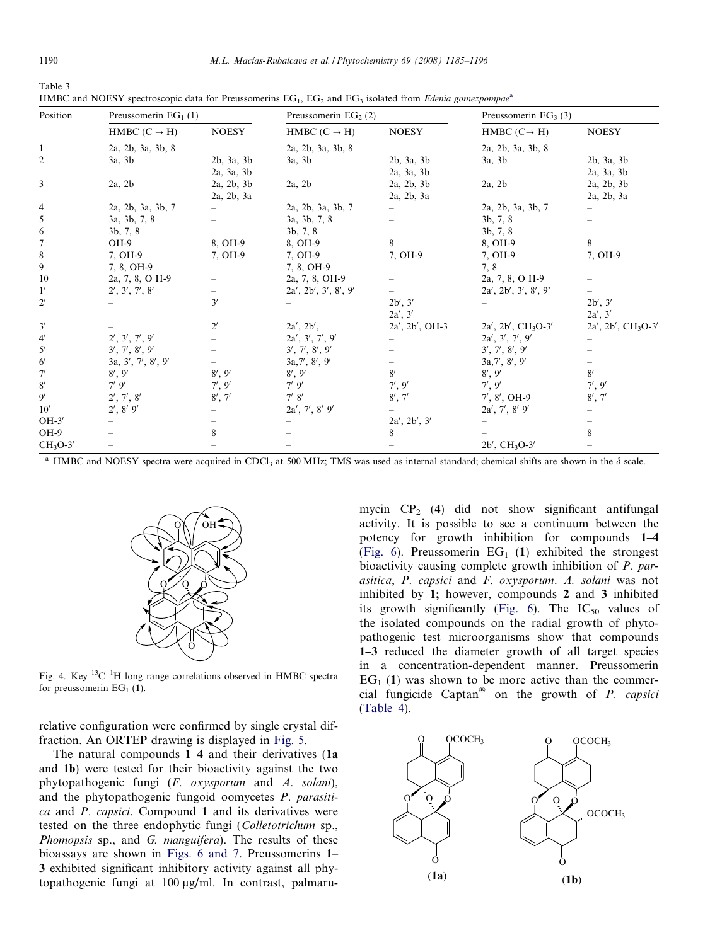<span id="page-5-0"></span>Table 3

| HMBC and NOESY spectroscopic data for Preussomerins $EG_1$ , $EG_2$ and $EG_3$ isolated from <i>Edenia gomezpompae</i> <sup>a</sup> |                          |                    |                                  |                    |                                    |                            |
|-------------------------------------------------------------------------------------------------------------------------------------|--------------------------|--------------------|----------------------------------|--------------------|------------------------------------|----------------------------|
| Position                                                                                                                            | Preussomerin $EG1(1)$    |                    | Preussomerin EG <sub>2</sub> (2) |                    | Preussomerin EG <sub>3</sub> $(3)$ |                            |
|                                                                                                                                     | HMBC $(C \rightarrow H)$ | <b>NOESY</b>       | HMBC $(C \rightarrow H)$         | <b>NOESY</b>       | HMBC $(C \rightarrow H)$           | <b>NOESY</b>               |
|                                                                                                                                     | 2a, 2b, 3a, 3b, 8        |                    | 2a, 2b, 3a, 3b, 8                |                    | 2a, 2b, 3a, 3b, 8                  |                            |
| $\overline{c}$                                                                                                                      | 3a, 3b                   | 2b, 3a, 3b         | $3a$ , $3b$                      | $2b$ , $3a$ , $3b$ | $3a$ , $3b$                        | $2b$ , $3a$ , $3b$         |
|                                                                                                                                     |                          | 2a, 3a, 3b         |                                  | 2a, 3a, 3b         |                                    | 2a, 3a, 3b                 |
| 3                                                                                                                                   | $2a$ , $2b$              | $2a$ , $2b$ , $3b$ | $2a$ , $2b$                      | 2a, 2b, 3b         | $2a$ , $2b$                        | 2a, 2b, 3b                 |
|                                                                                                                                     |                          | 2a, 2b, 3a         |                                  | $2a$ , $2b$ , $3a$ |                                    | 2a, 2b, 3a                 |
| 4                                                                                                                                   | 2a, 2b, 3a, 3b, 7        |                    | 2a, 2b, 3a, 3b, 7                |                    | 2a, 2b, 3a, 3b, 7                  |                            |
| 5                                                                                                                                   | 3a, 3b, 7, 8             |                    | 3a, 3b, 7, 8                     |                    | 3b, 7, 8                           |                            |
| 6                                                                                                                                   | 3b, 7, 8                 |                    | 3b, 7, 8                         |                    | 3b, 7, 8                           |                            |
| 7                                                                                                                                   | OH-9                     | 8, OH-9            | 8, OH-9                          | 8                  | 8, OH-9                            | 8                          |
| 8                                                                                                                                   | 7, OH-9                  | 7, OH-9            | 7, OH-9                          | 7, OH-9            | 7, OH-9                            | 7, OH-9                    |
| 9                                                                                                                                   | 7, 8, OH-9               |                    | 7, 8, OH-9                       |                    | 7, 8                               |                            |
| 10                                                                                                                                  | 2a, 7, 8, O H-9          |                    | 2a, 7, 8, OH-9                   |                    | 2a, 7, 8, O H-9                    |                            |
| 1'                                                                                                                                  | 2', 3', 7', 8'           |                    | 2a', 2b', 3', 8', 9'             |                    | 2a', 2b', 3', 8', 9'               |                            |
| $2^{\prime}$                                                                                                                        |                          | 3'                 |                                  | 2b', 3'            |                                    | 2b', 3'                    |
|                                                                                                                                     |                          |                    |                                  | 2a', 3'            |                                    | 2a', 3'                    |
| 3'                                                                                                                                  |                          | $2^{\prime}$       | 2a', 2b',                        | $2a', 2b', OH-3$   | $2a', 2b', CH_3O-3'$               | $2a'$ , $2b'$ , $CH_3O-3'$ |
| $4^{\prime}$                                                                                                                        | 2', 3', 7', 9'           |                    | 2a', 3', 7', 9'                  |                    | 2a', 3', 7', 9'                    |                            |
| $5^{\prime}$                                                                                                                        | 3', 7', 8', 9'           |                    | 3', 7', 8', 9'                   |                    | 3', 7', 8', 9'                     |                            |
| $6^{\prime}$                                                                                                                        | 3a, 3', 7', 8', 9'       |                    | 3a,7', 8', 9'                    |                    | 3a,7', 8', 9'                      |                            |
| 7'                                                                                                                                  | 8', 9'                   | 8', 9'             | 8', 9'                           | 8'                 | 8', 9'                             | 8'                         |
| 8'                                                                                                                                  | 7'9'                     | 7', 9'             | $7'$ 9'                          | 7', 9'             | 7', 9'                             | 7', 9'                     |
| 9'                                                                                                                                  | 2', 7', 8'               | 8', 7'             | 7' 8'                            | 8', 7'             | $7', 8', OH-9$                     | 8', 7'                     |
| 10'                                                                                                                                 | $2', 8'$ 9'              |                    | $2a', 7', 8'$ 9'                 |                    | $2a', 7', 8'$ 9'                   |                            |
| $OH-3'$                                                                                                                             |                          |                    |                                  | 2a', 2b', 3'       |                                    |                            |
| OH-9                                                                                                                                |                          | 8                  |                                  | 8                  |                                    | 8                          |
| $CH3O-3'$                                                                                                                           |                          |                    |                                  |                    | $2b'$ , $CH_3O-3'$                 |                            |

HMBC and NOESY spectra were acquired in CDCl<sub>3</sub> at 500 MHz; TMS was used as internal standard; chemical shifts are shown in the  $\delta$  scale.



Fig. 4. Key  ${}^{13}C^{-1}H$  long range correlations observed in HMBC spectra for preussomerin  $EG<sub>1</sub>(1)$ .

relative configuration were confirmed by single crystal diffraction. An ORTEP drawing is displayed in [Fig. 5](#page-6-0).

The natural compounds 1–4 and their derivatives (1a and 1b) were tested for their bioactivity against the two phytopathogenic fungi (F. oxysporum and A. solani), and the phytopathogenic fungoid oomycetes P. parasitica and P. capsici. Compound 1 and its derivatives were tested on the three endophytic fungi (Colletotrichum sp., Phomopsis sp., and G. manguifera). The results of these bioassays are shown in [Figs. 6 and 7.](#page-6-0) Preussomerins 1– 3 exhibited significant inhibitory activity against all phytopathogenic fungi at  $100 \mu g/ml$ . In contrast, palmaru-

mycin  $CP_2$  (4) did not show significant antifungal activity. It is possible to see a continuum between the potency for growth inhibition for compounds 1–4 [\(Fig. 6\)](#page-6-0). Preussomerin  $EG_1$  (1) exhibited the strongest bioactivity causing complete growth inhibition of P. parasitica, P. capsici and F. oxysporum. A. solani was not inhibited by 1; however, compounds 2 and 3 inhibited its growth significantly [\(Fig. 6](#page-6-0)). The  $IC_{50}$  values of the isolated compounds on the radial growth of phytopathogenic test microorganisms show that compounds 1–3 reduced the diameter growth of all target species in a concentration-dependent manner. Preussomerin  $EG<sub>1</sub>$  (1) was shown to be more active than the commercial fungicide Captan<sup>®</sup> on the growth of *P. capsici* [\(Table 4](#page-6-0)).

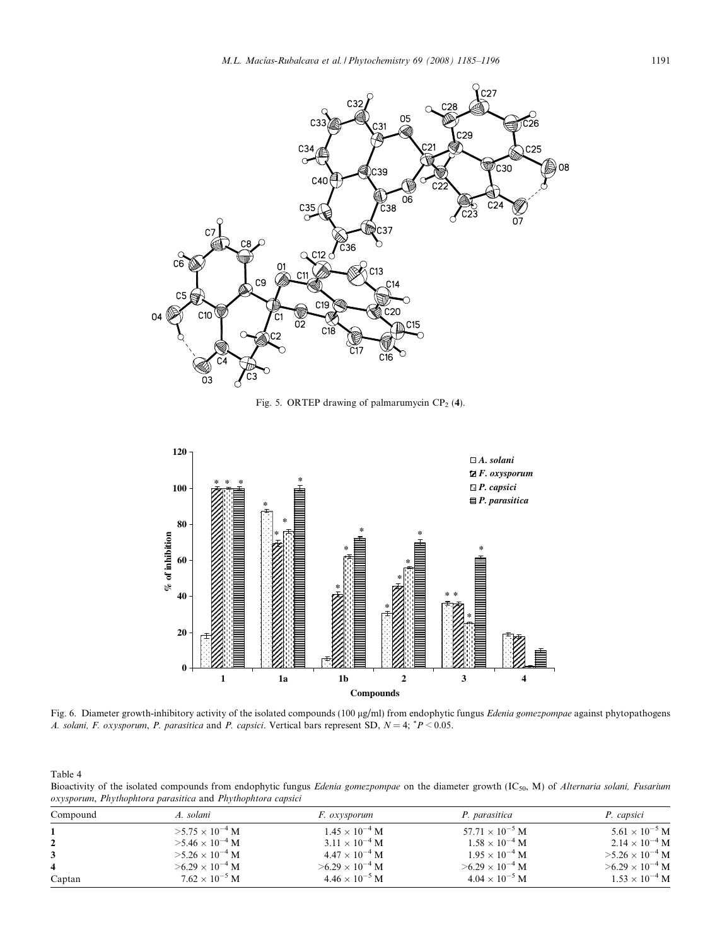<span id="page-6-0"></span>

Fig. 5. ORTEP drawing of palmarumycin  $CP_2$  (4).



Fig. 6. Diameter growth-inhibitory activity of the isolated compounds (100 µg/ml) from endophytic fungus Edenia gomezpompae against phytopathogens A. solani, F. oxysporum, P. parasitica and P. capsici. Vertical bars represent SD,  $N = 4$ ;  ${}^{*}P < 0.05$ .

Table 4

Bioactivity of the isolated compounds from endophytic fungus Edenia gomezpompae on the diameter growth (IC<sub>50</sub>, M) of Alternaria solani, Fusarium oxysporum, Phythophtora parasitica and Phythophtora capsici

| Compound | A. solani                | <i>F.</i> oxysporum      | P. parasitica                     | P. capsici               |  |
|----------|--------------------------|--------------------------|-----------------------------------|--------------------------|--|
|          | $>5.75 \times 10^{-4}$ M | $1.45 \times 10^{-4}$ M  | 57.71 $\times$ 10 <sup>-5</sup> M | $5.61 \times 10^{-5}$ M  |  |
|          | $>5.46 \times 10^{-4}$ M | $3.11 \times 10^{-4}$ M  | $1.58 \times 10^{-4}$ M           | $2.14 \times 10^{-4}$ M  |  |
|          | $>5.26 \times 10^{-4}$ M | $4.47 \times 10^{-4}$ M  | $1.95 \times 10^{-4}$ M           | $>5.26\times10^{-4}$ M   |  |
|          | $>6.29 \times 10^{-4}$ M | $>6.29 \times 10^{-4}$ M | $>6.29 \times 10^{-4}$ M          | $>6.29 \times 10^{-4}$ M |  |
| Captan   | $7.62 \times 10^{-5}$ M  | $4.46 \times 10^{-5}$ M  | $4.04 \times 10^{-5}$ M           | $1.53 \times 10^{-4}$ M  |  |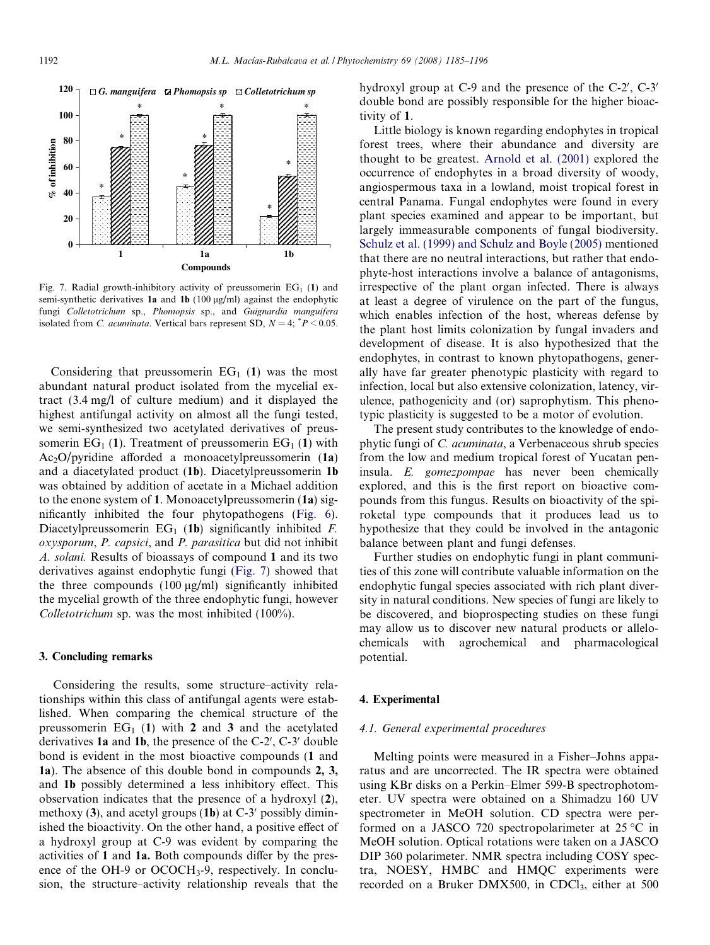

Fig. 7. Radial growth-inhibitory activity of preussomerin  $EG_1$  (1) and semi-synthetic derivatives 1a and 1b (100  $\mu$ g/ml) against the endophytic fungi Colletotrichum sp., Phomopsis sp., and Guignardia manguifera isolated from *C. acuminata*. Vertical bars represent SD,  $N = 4$ ;  $P < 0.05$ .

Considering that preussomerin  $EG_1$  (1) was the most abundant natural product isolated from the mycelial extract (3.4 mg/l of culture medium) and it displayed the highest antifungal activity on almost all the fungi tested, we semi-synthesized two acetylated derivatives of preussomerin  $EG_1(1)$ . Treatment of preussomerin  $EG_1(1)$  with  $Ac_2O/p$ yridine afforded a monoacetylpreussomerin (1a) and a diacetylated product (1b). Diacetylpreussomerin 1b was obtained by addition of acetate in a Michael addition to the enone system of 1. Monoacetylpreussomerin (1a) significantly inhibited the four phytopathogens ([Fig. 6\)](#page-6-0). Diacetylpreussomerin  $EG_1$  (1b) significantly inhibited F. oxysporum, P. capsici, and P. parasitica but did not inhibit A. solani. Results of bioassays of compound 1 and its two derivatives against endophytic fungi (Fig. 7) showed that the three compounds  $(100 \mu g/ml)$  significantly inhibited the mycelial growth of the three endophytic fungi, however Colletotrichum sp. was the most inhibited (100%).

# 3. Concluding remarks

Considering the results, some structure–activity relationships within this class of antifungal agents were established. When comparing the chemical structure of the preussomerin  $EG_1$  (1) with 2 and 3 and the acetylated derivatives 1a and 1b, the presence of the  $C-2'$ ,  $C-3'$  double bond is evident in the most bioactive compounds (1 and 1a). The absence of this double bond in compounds 2, 3, and 1b possibly determined a less inhibitory effect. This observation indicates that the presence of a hydroxyl (2), methoxy  $(3)$ , and acetyl groups  $(1b)$  at C-3' possibly diminished the bioactivity. On the other hand, a positive effect of a hydroxyl group at C-9 was evident by comparing the activities of 1 and 1a. Both compounds differ by the presence of the OH-9 or OCOCH<sub>3</sub>-9, respectively. In conclusion, the structure–activity relationship reveals that the

hydroxyl group at  $C$ -9 and the presence of the  $C$ -2',  $C$ -3' double bond are possibly responsible for the higher bioactivity of 1.

Little biology is known regarding endophytes in tropical forest trees, where their abundance and diversity are thought to be greatest. [Arnold et al. \(2001\)](#page-10-0) explored the occurrence of endophytes in a broad diversity of woody, angiospermous taxa in a lowland, moist tropical forest in central Panama. Fungal endophytes were found in every plant species examined and appear to be important, but largely immeasurable components of fungal biodiversity. [Schulz et al. \(1999\) and Schulz and Boyle \(2005\)](#page-11-0) mentioned that there are no neutral interactions, but rather that endophyte-host interactions involve a balance of antagonisms, irrespective of the plant organ infected. There is always at least a degree of virulence on the part of the fungus, which enables infection of the host, whereas defense by the plant host limits colonization by fungal invaders and development of disease. It is also hypothesized that the endophytes, in contrast to known phytopathogens, generally have far greater phenotypic plasticity with regard to infection, local but also extensive colonization, latency, virulence, pathogenicity and (or) saprophytism. This phenotypic plasticity is suggested to be a motor of evolution.

The present study contributes to the knowledge of endophytic fungi of C. acuminata, a Verbenaceous shrub species from the low and medium tropical forest of Yucatan peninsula. E. gomezpompae has never been chemically explored, and this is the first report on bioactive compounds from this fungus. Results on bioactivity of the spiroketal type compounds that it produces lead us to hypothesize that they could be involved in the antagonic balance between plant and fungi defenses.

Further studies on endophytic fungi in plant communities of this zone will contribute valuable information on the endophytic fungal species associated with rich plant diversity in natural conditions. New species of fungi are likely to be discovered, and bioprospecting studies on these fungi may allow us to discover new natural products or allelochemicals with agrochemical and pharmacological potential.

#### 4. Experimental

#### 4.1. General experimental procedures

Melting points were measured in a Fisher–Johns apparatus and are uncorrected. The IR spectra were obtained using KBr disks on a Perkin–Elmer 599-B spectrophotometer. UV spectra were obtained on a Shimadzu 160 UV spectrometer in MeOH solution. CD spectra were performed on a JASCO 720 spectropolarimeter at 25  $\degree$ C in MeOH solution. Optical rotations were taken on a JASCO DIP 360 polarimeter. NMR spectra including COSY spectra, NOESY, HMBC and HMQC experiments were recorded on a Bruker DMX500, in CDCl<sub>3</sub>, either at 500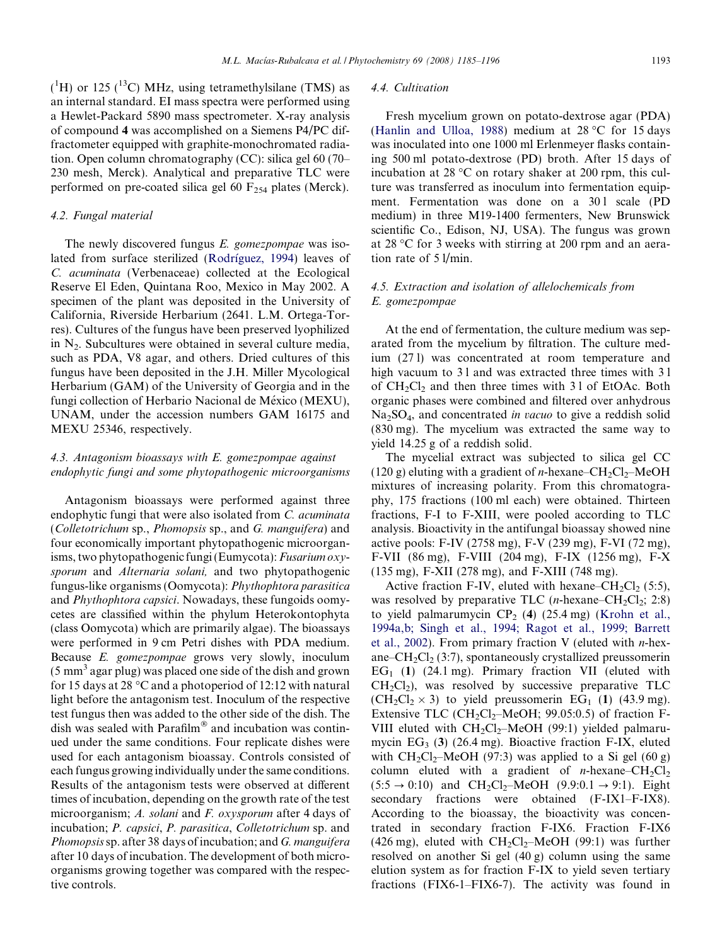$(^{1}H)$  or 125 ( $^{13}C$ ) MHz, using tetramethylsilane (TMS) as an internal standard. EI mass spectra were performed using a Hewlet-Packard 5890 mass spectrometer. X-ray analysis of compound 4 was accomplished on a Siemens P4/PC diffractometer equipped with graphite-monochromated radiation. Open column chromatography (CC): silica gel 60 (70– 230 mesh, Merck). Analytical and preparative TLC were performed on pre-coated silica gel 60  $F_{254}$  plates (Merck).

# 4.2. Fungal material

The newly discovered fungus E. gomezpompae was isolated from surface sterilized (Rodríguez, 1994) leaves of C. acuminata (Verbenaceae) collected at the Ecological Reserve El Eden, Quintana Roo, Mexico in May 2002. A specimen of the plant was deposited in the University of California, Riverside Herbarium (2641. L.M. Ortega-Torres). Cultures of the fungus have been preserved lyophilized in  $N<sub>2</sub>$ . Subcultures were obtained in several culture media, such as PDA, V8 agar, and others. Dried cultures of this fungus have been deposited in the J.H. Miller Mycological Herbarium (GAM) of the University of Georgia and in the fungi collection of Herbario Nacional de México (MEXU), UNAM, under the accession numbers GAM 16175 and MEXU 25346, respectively.

# 4.3. Antagonism bioassays with E. gomezpompae against endophytic fungi and some phytopathogenic microorganisms

Antagonism bioassays were performed against three endophytic fungi that were also isolated from C. acuminata (Colletotrichum sp., Phomopsis sp., and G. manguifera) and four economically important phytopathogenic microorganisms, two phytopathogenic fungi (Eumycota): Fusarium oxysporum and Alternaria solani, and two phytopathogenic fungus-like organisms (Oomycota): Phythophtora parasitica and Phythophtora capsici. Nowadays, these fungoids oomycetes are classified within the phylum Heterokontophyta (class Oomycota) which are primarily algae). The bioassays were performed in 9 cm Petri dishes with PDA medium. Because E. gomezpompae grows very slowly, inoculum  $(5 \text{ mm}^3 \text{ agar plug})$  was placed one side of the dish and grown for 15 days at 28  $\degree$ C and a photoperiod of 12:12 with natural light before the antagonism test. Inoculum of the respective test fungus then was added to the other side of the dish. The dish was sealed with  $Param^{\otimes}$  and incubation was continued under the same conditions. Four replicate dishes were used for each antagonism bioassay. Controls consisted of each fungus growing individually under the same conditions. Results of the antagonism tests were observed at different times of incubation, depending on the growth rate of the test microorganism; A. solani and F. oxysporum after 4 days of incubation; P. capsici, P. parasitica, Colletotrichum sp. and Phomopsissp. after 38 days of incubation; and G. manguifera after 10 days of incubation. The development of both microorganisms growing together was compared with the respective controls.

# 4.4. Cultivation

Fresh mycelium grown on potato-dextrose agar (PDA) ([Hanlin and Ulloa, 1988\)](#page-10-0) medium at  $28\text{ °C}$  for 15 days was inoculated into one 1000 ml Erlenmeyer flasks containing 500 ml potato-dextrose (PD) broth. After 15 days of incubation at 28  $\degree$ C on rotary shaker at 200 rpm, this culture was transferred as inoculum into fermentation equipment. Fermentation was done on a 301 scale (PD medium) in three M19-1400 fermenters, New Brunswick scientific Co., Edison, NJ, USA). The fungus was grown at 28 °C for 3 weeks with stirring at 200 rpm and an aeration rate of 5 l/min.

# 4.5. Extraction and isolation of allelochemicals from E. gomezpompae

At the end of fermentation, the culture medium was separated from the mycelium by filtration. The culture medium (27 l) was concentrated at room temperature and high vacuum to 31 and was extracted three times with 31 of  $CH_2Cl_2$  and then three times with 31 of EtOAc. Both organic phases were combined and filtered over anhydrous  $Na<sub>2</sub>SO<sub>4</sub>$ , and concentrated *in vacuo* to give a reddish solid (830 mg). The mycelium was extracted the same way to yield 14.25 g of a reddish solid.

The mycelial extract was subjected to silica gel CC (120 g) eluting with a gradient of *n*-hexane–CH<sub>2</sub>Cl<sub>2</sub>–MeOH mixtures of increasing polarity. From this chromatography, 175 fractions (100 ml each) were obtained. Thirteen fractions, F-I to F-XIII, were pooled according to TLC analysis. Bioactivity in the antifungal bioassay showed nine active pools: F-IV (2758 mg), F-V (239 mg), F-VI (72 mg), F-VII (86 mg), F-VIII (204 mg), F-IX (1256 mg), F-X (135 mg), F-XII (278 mg), and F-XIII (748 mg).

Active fraction F-IV, eluted with hexane–CH<sub>2</sub>Cl<sub>2</sub> (5:5), was resolved by preparative TLC (*n*-hexane–CH<sub>2</sub>Cl<sub>2</sub>; 2:8) to yield palmarumycin  $CP_2$  (4) (25.4 mg) [\(Krohn et al.,](#page-10-0) [1994a,b; Singh et al., 1994; Ragot et al., 1999; Barrett](#page-10-0) [et al., 2002](#page-10-0)). From primary fraction V (eluted with  $n$ -hexane– $CH_2Cl_2$  (3:7), spontaneously crystallized preussomerin  $EG<sub>1</sub>$  (1) (24.1 mg). Primary fraction VII (eluted with  $CH<sub>2</sub>Cl<sub>2</sub>$ ), was resolved by successive preparative TLC  $(CH_2Cl_2 \times 3)$  to yield preussomerin EG<sub>1</sub> (1) (43.9 mg). Extensive TLC (CH<sub>2</sub>Cl<sub>2</sub>–MeOH; 99.05:0.5) of fraction F-VIII eluted with CH<sub>2</sub>Cl<sub>2</sub>-MeOH (99:1) yielded palmarumycin  $EG_3$  (3) (26.4 mg). Bioactive fraction F-IX, eluted with  $CH_2Cl_2$ -MeOH (97:3) was applied to a Si gel (60 g) column eluted with a gradient of *n*-hexane–CH<sub>2</sub>Cl<sub>2</sub>  $(5:5 \rightarrow 0:10)$  and  $CH_2Cl_2-MeOH$   $(9.9:0.1 \rightarrow 9:1)$ . Eight secondary fractions were obtained (F-IX1–F-IX8). According to the bioassay, the bioactivity was concentrated in secondary fraction F-IX6. Fraction F-IX6 (426 mg), eluted with  $CH_2Cl_2$ –MeOH (99:1) was further resolved on another Si gel (40 g) column using the same elution system as for fraction F-IX to yield seven tertiary fractions (FIX6-1–FIX6-7). The activity was found in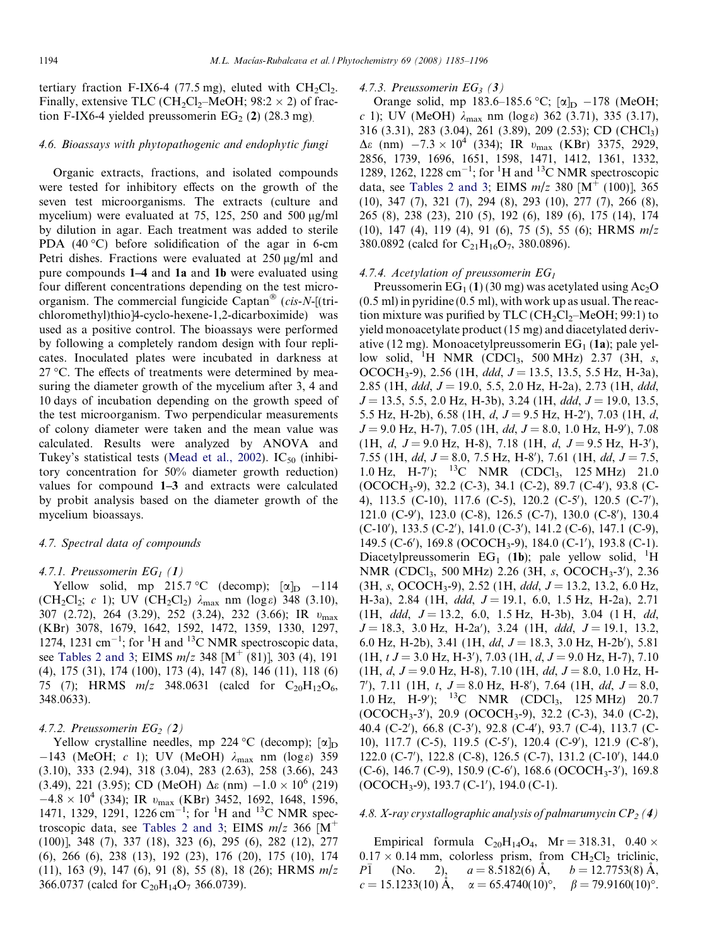tertiary fraction F-IX6-4 (77.5 mg), eluted with  $CH_2Cl_2$ . Finally, extensive TLC (CH<sub>2</sub>Cl<sub>2</sub>–MeOH;  $98:2 \times 2$ ) of fraction F-IX6-4 yielded preussomerin  $EG_2$  (2) (28.3 mg).

#### 4.6. Bioassays with phytopathogenic and endophytic fungi

Organic extracts, fractions, and isolated compounds were tested for inhibitory effects on the growth of the seven test microorganisms. The extracts (culture and mycelium) were evaluated at 75, 125, 250 and 500  $\mu$ g/ml by dilution in agar. Each treatment was added to sterile PDA  $(40 \degree C)$  before solidification of the agar in 6-cm Petri dishes. Fractions were evaluated at  $250 \mu g/ml$  and pure compounds 1–4 and 1a and 1b were evaluated using four different concentrations depending on the test microorganism. The commercial fungicide Captan<sup>®</sup> (cis-N-[(trichloromethyl)thio]4-cyclo-hexene-1,2-dicarboximide) was used as a positive control. The bioassays were performed by following a completely random design with four replicates. Inoculated plates were incubated in darkness at  $27 \text{ °C}$ . The effects of treatments were determined by measuring the diameter growth of the mycelium after 3, 4 and 10 days of incubation depending on the growth speed of the test microorganism. Two perpendicular measurements of colony diameter were taken and the mean value was calculated. Results were analyzed by ANOVA and Tukey's statistical tests [\(Mead et al., 2002](#page-11-0)).  $IC_{50}$  (inhibitory concentration for 50% diameter growth reduction) values for compound 1–3 and extracts were calculated by probit analysis based on the diameter growth of the mycelium bioassays.

#### 4.7. Spectral data of compounds

#### 4.7.1. Preussomerin  $EG_1(1)$

Yellow solid, mp 215.7 °C (decomp);  $[\alpha]_D$  –114 (CH<sub>2</sub>Cl<sub>2</sub>; c 1); UV (CH<sub>2</sub>Cl<sub>2</sub>)  $\lambda_{\text{max}}$  nm (log e) 348 (3.10), 307 (2.72), 264 (3.29), 252 (3.24), 232 (3.66); IR  $v_{\text{max}}$ (KBr) 3078, 1679, 1642, 1592, 1472, 1359, 1330, 1297, 1274, 1231 cm<sup>-1</sup>; for <sup>1</sup>H and <sup>13</sup>C NMR spectroscopic data, see [Tables 2 and 3;](#page-4-0) EIMS  $m/z$  348 [M<sup>+</sup> (81)], 303 (4), 191 (4), 175 (31), 174 (100), 173 (4), 147 (8), 146 (11), 118 (6) 75 (7); HRMS  $m/z$  348.0631 (calcd for  $C_{20}H_{12}O_6$ , 348.0633).

## 4.7.2. Preussomerin  $EG_2(2)$

Yellow crystalline needles, mp 224 °C (decomp);  $[\alpha]_D$  $-143$  (MeOH; c 1); UV (MeOH)  $\lambda_{\text{max}}$  nm (log  $\varepsilon$ ) 359 (3.10), 333 (2.94), 318 (3.04), 283 (2.63), 258 (3.66), 243 (3.49), 221 (3.95); CD (MeOH)  $\Delta \varepsilon$  (nm)  $-1.0 \times 10^6$  (219)  $-4.8 \times 10^4$  (334); IR  $v_{\text{max}}$  (KBr) 3452, 1692, 1648, 1596, 1471, 1329, 1291, 1226 cm<sup>-1</sup>; for <sup>1</sup>H and <sup>13</sup>C NMR spec-troscopic data, see [Tables 2 and 3;](#page-4-0) EIMS  $m/z$  366 [M<sup>+</sup> (100)], 348 (7), 337 (18), 323 (6), 295 (6), 282 (12), 277 (6), 266 (6), 238 (13), 192 (23), 176 (20), 175 (10), 174 (11), 163 (9), 147 (6), 91 (8), 55 (8), 18 (26); HRMS m/z 366.0737 (calcd for  $C_{20}H_{14}O_7$  366.0739).

#### 4.7.3. Preussomerin  $EG_3$  (3)

Orange solid, mp 183.6–185.6 °C; [ $\alpha$ ]<sub>D</sub> –178 (MeOH; c 1); UV (MeOH)  $\lambda_{\text{max}}$  nm (log  $\epsilon$ ) 362 (3.71), 335 (3.17), 316 (3.31), 283 (3.04), 261 (3.89), 209 (2.53); CD (CHCl3)  $\Delta \varepsilon$  (nm)  $-7.3 \times 10^4$  (334); IR  $v_{\text{max}}$  (KBr) 3375, 2929, 2856, 1739, 1696, 1651, 1598, 1471, 1412, 1361, 1332, 1289, 1262, 1228 cm<sup>-1</sup>; for <sup>1</sup>H and <sup>13</sup>C NMR spectroscopic data, see [Tables 2 and 3;](#page-4-0) EIMS  $m/z$  380 [M<sup>+</sup> (100)], 365 (10), 347 (7), 321 (7), 294 (8), 293 (10), 277 (7), 266 (8), 265 (8), 238 (23), 210 (5), 192 (6), 189 (6), 175 (14), 174 (10), 147 (4), 119 (4), 91 (6), 75 (5), 55 (6); HRMS m/z 380.0892 (calcd for  $C_{21}H_{16}O_7$ , 380.0896).

## 4.7.4. Acetylation of preussomerin  $EG<sub>1</sub>$

Preussomerin  $EG_1(1)$  (30 mg) was acetylated using Ac<sub>2</sub>O (0.5 ml) in pyridine (0.5 ml), with work up as usual. The reaction mixture was purified by TLC ( $CH_2Cl_2$ –MeOH; 99:1) to yield monoacetylate product (15 mg) and diacetylated derivative (12 mg). Monoacetylpreussomerin  $EG<sub>1</sub>$  (1a); pale yellow solid, <sup>1</sup>H NMR (CDCl<sub>3</sub>, 500 MHz) 2.37 (3H, s, OCOCH<sub>3</sub>-9), 2.56 (1H, *ddd, J* = 13.5, 13.5, 5.5 Hz, H-3a), 2.85 (1H, ddd,  $J = 19.0$ , 5.5, 2.0 Hz, H-2a), 2.73 (1H, ddd,  $J = 13.5, 5.5, 2.0$  Hz, H-3b), 3.24 (1H, ddd,  $J = 19.0, 13.5,$ 5.5 Hz, H-2b), 6.58 (1H,  $d, J = 9.5$  Hz, H-2'), 7.03 (1H,  $d,$  $J = 9.0$  Hz, H-7), 7.05 (1H, dd,  $J = 8.0$ , 1.0 Hz, H-9'), 7.08  $(1H, d, J = 9.0 \text{ Hz}, H=8)$ , 7.18  $(1H, d, J = 9.5 \text{ Hz}, H=3')$ , 7.55 (1H, dd,  $J = 8.0$ , 7.5 Hz, H-8'), 7.61 (1H, dd,  $J = 7.5$ , 1.0 Hz, H-7'); <sup>13</sup>C NMR (CDCl<sub>3</sub>, 125 MHz) 21.0 (OCOCH<sub>3</sub>-9), 32.2 (C-3), 34.1 (C-2), 89.7 (C-4'), 93.8 (C-4), 113.5 (C-10), 117.6 (C-5), 120.2 (C-5'), 120.5 (C-7'), 121.0 (C-9'), 123.0 (C-8), 126.5 (C-7), 130.0 (C-8'), 130.4 (C-10'), 133.5 (C-2'), 141.0 (C-3'), 141.2 (C-6), 147.1 (C-9), 149.5 (C-6'), 169.8 (OCOCH<sub>3</sub>-9), 184.0 (C-1'), 193.8 (C-1). Diacetylpreussomerin EG<sub>1</sub> (1b); pale yellow solid, <sup>1</sup>H NMR (CDCl<sub>3</sub>, 500 MHz) 2.26 (3H, s, OCOCH<sub>3</sub>-3'), 2.36  $(3H, s, \text{OCOCH}_3-9), 2.52$  (1H, ddd,  $J = 13.2, 13.2, 6.0$  Hz, H-3a), 2.84 (1H, ddd,  $J = 19.1$ , 6.0, 1.5 Hz, H-2a), 2.71 (1H, ddd,  $J = 13.2$ , 6.0, 1.5 Hz, H-3b), 3.04 (1 H, dd,  $J = 18.3, 3.0$  Hz, H-2a'), 3.24 (1H, ddd,  $J = 19.1, 13.2$ , 6.0 Hz, H-2b), 3.41 (1H,  $dd, J = 18.3, 3.0$  Hz, H-2b'), 5.81  $(1H, t J = 3.0 Hz, H-3', 7.03 (1H, d, J = 9.0 Hz, H-7), 7.10$  $(1H, d, J = 9.0 \text{ Hz}, H=8)$ , 7.10  $(1H, dd, J = 8.0, 1.0 \text{ Hz}, H=$ 7'), 7.11 (1H, t,  $J = 8.0$  Hz, H-8'), 7.64 (1H, dd,  $J = 8.0$ , 1.0 Hz, H-9'); <sup>13</sup>C NMR (CDCl<sub>3</sub>, 125 MHz) 20.7 (OCOCH<sub>3</sub>-3'), 20.9 (OCOCH<sub>3</sub>-9), 32.2 (C-3), 34.0 (C-2), 40.4 (C-2'), 66.8 (C-3'), 92.8 (C-4'), 93.7 (C-4), 113.7 (C-10), 117.7 (C-5), 119.5 (C-5'), 120.4 (C-9'), 121.9 (C-8'), 122.0 (C-7'), 122.8 (C-8), 126.5 (C-7), 131.2 (C-10'), 144.0 (C-6), 146.7 (C-9), 150.9 (C-6'), 168.6 (OCOCH<sub>3</sub>-3'), 169.8  $(OCOCH<sub>3</sub>-9), 193.7 (C-1'), 194.0 (C-1).$ 

# 4.8. X-ray crystallographic analysis of palmarumycin  $CP_2 (4)$

Empirical formula  $C_{20}H_{14}O_4$ ,  $Mr = 318.31$ ,  $0.40 \times$  $0.17 \times 0.14$  mm, colorless prism, from CH<sub>2</sub>Cl<sub>2</sub> triclinic,  $P\overline{1}$ (No. 2),  $a = 8.5182(6)$  A,  $b = 12.7753(8)$  A,  $c = 15.1233(10)$  A,  $\alpha = 65.4740(10)^\circ$ ,  $\beta = 79.9160(10)^\circ$ .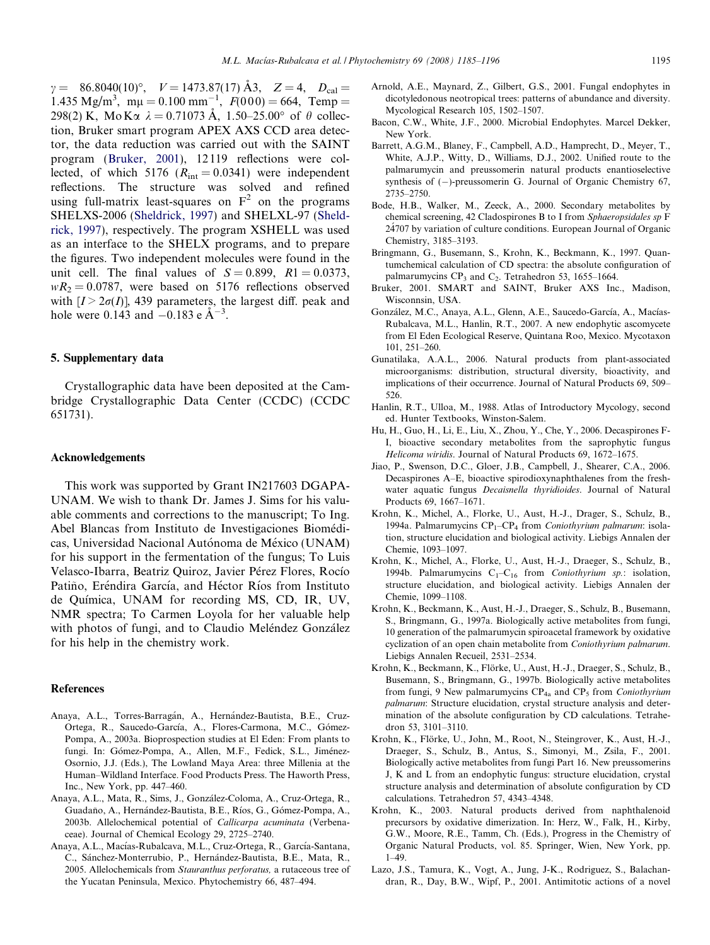<span id="page-10-0"></span> $\gamma = 86.8040(10)^\circ$ ,  $V = 1473.87(17)$  Å3,  $Z = 4$ ,  $D_{\text{cal}} =$ 1.435 Mg/m<sup>3</sup>, m $\mu = 0.100$  mm<sup>-1</sup>,  $F(000) = 664$ , Temp = 298(2) K, MoK $\alpha \lambda = 0.71073$  A, 1.50–25.00° of  $\theta$  collection, Bruker smart program APEX AXS CCD area detector, the data reduction was carried out with the SAINT program (Bruker, 2001), 12 119 reflections were collected, of which 5176 ( $R_{int} = 0.0341$ ) were independent reflections. The structure was solved and refined using full-matrix least-squares on  $F^2$  on the programs SHELXS-2006 ([Sheldrick, 1997\)](#page-11-0) and SHELXL-97 ([Sheld](#page-11-0)[rick, 1997\)](#page-11-0), respectively. The program XSHELL was used as an interface to the SHELX programs, and to prepare the figures. Two independent molecules were found in the unit cell. The final values of  $S = 0.899$ ,  $R1 = 0.0373$ ,  $wR_2 = 0.0787$ , were based on 5176 reflections observed with  $[I > 2\sigma(I)]$ , 439 parameters, the largest diff. peak and hole were 0.143 and  $-0.183$  e  $\AA^{-3}$ .

#### 5. Supplementary data

Crystallographic data have been deposited at the Cambridge Crystallographic Data Center (CCDC) (CCDC 651731).

#### Acknowledgements

This work was supported by Grant IN217603 DGAPA-UNAM. We wish to thank Dr. James J. Sims for his valuable comments and corrections to the manuscript; To Ing. Abel Blancas from Instituto de Investigaciones Biomédicas, Universidad Nacional Autónoma de México (UNAM) for his support in the fermentation of the fungus; To Luis Velasco-Ibarra, Beatriz Quiroz, Javier Pérez Flores, Rocío Patiño, Eréndira García, and Héctor Ríos from Instituto de Quı´mica, UNAM for recording MS, CD, IR, UV, NMR spectra; To Carmen Loyola for her valuable help with photos of fungi, and to Claudio Meléndez González for his help in the chemistry work.

#### References

- Anaya, A.L., Torres-Barragán, A., Hernández-Bautista, B.E., Cruz-Ortega, R., Saucedo-García, A., Flores-Carmona, M.C., Gómez-Pompa, A., 2003a. Bioprospection studies at El Eden: From plants to fungi. In: Gómez-Pompa, A., Allen, M.F., Fedick, S.L., Jiménez-Osornio, J.J. (Eds.), The Lowland Maya Area: three Millenia at the Human–Wildland Interface. Food Products Press. The Haworth Press, Inc., New York, pp. 447–460.
- Anaya, A.L., Mata, R., Sims, J., González-Coloma, A., Cruz-Ortega, R., Guadaño, A., Hernández-Bautista, B.E., Ríos, G., Gómez-Pompa, A., 2003b. Allelochemical potential of Callicarpa acuminata (Verbenaceae). Journal of Chemical Ecology 29, 2725–2740.
- Anaya, A.L., Macías-Rubalcava, M.L., Cruz-Ortega, R., García-Santana, C., Sánchez-Monterrubio, P., Hernández-Bautista, B.E., Mata, R., 2005. Allelochemicals from Stauranthus perforatus, a rutaceous tree of the Yucatan Peninsula, Mexico. Phytochemistry 66, 487–494.
- Arnold, A.E., Maynard, Z., Gilbert, G.S., 2001. Fungal endophytes in dicotyledonous neotropical trees: patterns of abundance and diversity. Mycological Research 105, 1502–1507.
- Bacon, C.W., White, J.F., 2000. Microbial Endophytes. Marcel Dekker, New York.
- Barrett, A.G.M., Blaney, F., Campbell, A.D., Hamprecht, D., Meyer, T., White, A.J.P., Witty, D., Williams, D.J., 2002. Unified route to the palmarumycin and preussomerin natural products enantioselective synthesis of  $(-)$ -preussomerin G. Journal of Organic Chemistry 67, 2735–2750.
- Bode, H.B., Walker, M., Zeeck, A., 2000. Secondary metabolites by chemical screening, 42 Cladospirones B to I from Sphaeropsidales sp F 24´707 by variation of culture conditions. European Journal of Organic Chemistry, 3185–3193.
- Bringmann, G., Busemann, S., Krohn, K., Beckmann, K., 1997. Quantumchemical calculation of CD spectra: the absolute configuration of palmarumycins  $CP_3$  and  $C_2$ . Tetrahedron 53, 1655–1664.
- Bruker, 2001. SMART and SAINT, Bruker AXS Inc., Madison, Wisconnsin, USA.
- González, M.C., Anaya, A.L., Glenn, A.E., Saucedo-García, A., Macías-Rubalcava, M.L., Hanlin, R.T., 2007. A new endophytic ascomycete from El Eden Ecological Reserve, Quintana Roo, Mexico. Mycotaxon 101, 251–260.
- Gunatilaka, A.A.L., 2006. Natural products from plant-associated microorganisms: distribution, structural diversity, bioactivity, and implications of their occurrence. Journal of Natural Products 69, 509– 526.
- Hanlin, R.T., Ulloa, M., 1988. Atlas of Introductory Mycology, second ed. Hunter Textbooks, Winston-Salem.
- Hu, H., Guo, H., Li, E., Liu, X., Zhou, Y., Che, Y., 2006. Decaspirones F-I, bioactive secondary metabolites from the saprophytic fungus Helicoma wiridis. Journal of Natural Products 69, 1672–1675.
- Jiao, P., Swenson, D.C., Gloer, J.B., Campbell, J., Shearer, C.A., 2006. Decaspirones A–E, bioactive spirodioxynaphthalenes from the freshwater aquatic fungus Decaisnella thyridioides. Journal of Natural Products 69, 1667–1671.
- Krohn, K., Michel, A., Florke, U., Aust, H.-J., Drager, S., Schulz, B., 1994a. Palmarumycins  $CP_1$ – $CP_4$  from *Coniothyrium palmarum*: isolation, structure elucidation and biological activity. Liebigs Annalen der Chemie, 1093–1097.
- Krohn, K., Michel, A., Florke, U., Aust, H.-J., Draeger, S., Schulz, B., 1994b. Palmarumycins  $C_1-C_{16}$  from *Coniothyrium sp.*: isolation, structure elucidation, and biological activity. Liebigs Annalen der Chemie, 1099–1108.
- Krohn, K., Beckmann, K., Aust, H.-J., Draeger, S., Schulz, B., Busemann, S., Bringmann, G., 1997a. Biologically active metabolites from fungi, 10 generation of the palmarumycin spiroacetal framework by oxidative cyclization of an open chain metabolite from Coniothyrium palmarum. Liebigs Annalen Recueil, 2531–2534.
- Krohn, K., Beckmann, K., Flörke, U., Aust, H.-J., Draeger, S., Schulz, B., Busemann, S., Bringmann, G., 1997b. Biologically active metabolites from fungi, 9 New palmarumycins  $CP_{4a}$  and  $CP_5$  from *Coniothyrium* palmarum: Structure elucidation, crystal structure analysis and determination of the absolute configuration by CD calculations. Tetrahedron 53, 3101–3110.
- Krohn, K., Flörke, U., John, M., Root, N., Steingrover, K., Aust, H.-J., Draeger, S., Schulz, B., Antus, S., Simonyi, M., Zsila, F., 2001. Biologically active metabolites from fungi Part 16. New preussomerins J, K and L from an endophytic fungus: structure elucidation, crystal structure analysis and determination of absolute configuration by CD calculations. Tetrahedron 57, 4343–4348.
- Krohn, K., 2003. Natural products derived from naphthalenoid precursors by oxidative dimerization. In: Herz, W., Falk, H., Kirby, G.W., Moore, R.E., Tamm, Ch. (Eds.), Progress in the Chemistry of Organic Natural Products, vol. 85. Springer, Wien, New York, pp. 1–49.
- Lazo, J.S., Tamura, K., Vogt, A., Jung, J-K., Rodriguez, S., Balachandran, R., Day, B.W., Wipf, P., 2001. Antimitotic actions of a novel